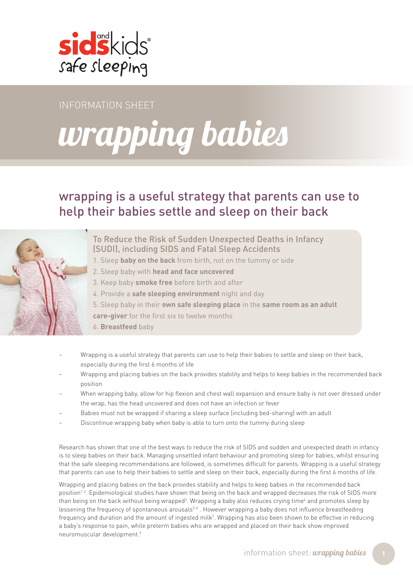

InfoRmation Sheet

# wrapping babies

## wrapping is a useful strategy that parents can use to help their babies settle and sleep on their back



To Reduce the Risk of Sudden Unexpected Deaths in Infancy (SUDI), including SIDS and Fatal Sleep Accidents

- 1. Sleep **baby on the back** from birth, not on the tummy or side
- 2. Sleep baby with **head and face uncovered**
- 3. Keep baby **smoke free** before birth and after
- 4. Provide a **safe sleeping environment** night and day
- 5. Sleep baby in their **own safe sleeping place** in the **same room as an adult**

**care-giver** for the first six to twelve months

- 6. **Breastfeed** baby
- Wrapping is a useful strategy that parents can use to help their babies to settle and sleep on their back, especially during the first 6 months of life
- Wrapping and placing babies on the back provides stability and helps to keep babies in the recommended back position
- When wrapping baby, allow for hip flexion and chest wall expansion and ensure baby is not over dressed under the wrap, has the head uncovered and does not have an infection or fever
- Babies must not be wrapped if sharing a sleep surface (including bed-sharing) with an adult
- Discontinue wrapping baby when baby is able to turn onto the tummy during sleep

Research has shown that one of the best ways to reduce the risk of SIDS and sudden and unexpected death in infancy is to sleep babies on their back. Managing unsettled infant behaviour and promoting sleep for babies, whilst ensuring that the safe sleeping recommendations are followed, is sometimes difficult for parents. Wrapping is a useful strategy that parents can use to help their babies to settle and sleep on their back, especially during the first 6 months of life.

Wrapping and placing babies on the back provides stability and helps to keep babies in the recommended back position<sup>1-2</sup>. Epidemiological studies have shown that being on the back and wrapped decreases the risk of SIDS more than being on the back without being wrapped<sup>3</sup>. Wrapping a baby also reduces crying time<sup>4</sup> and promotes sleep by lessening the frequency of spontaneous arousals<sup>5-6</sup>. However wrapping a baby does not influence breastfeeding frequency and duration and the amount of ingested milk7 . Wrapping has also been shown to be effective in reducing a baby's response to pain, while preterm babies who are wrapped and placed on their back show improved neuromuscular development.3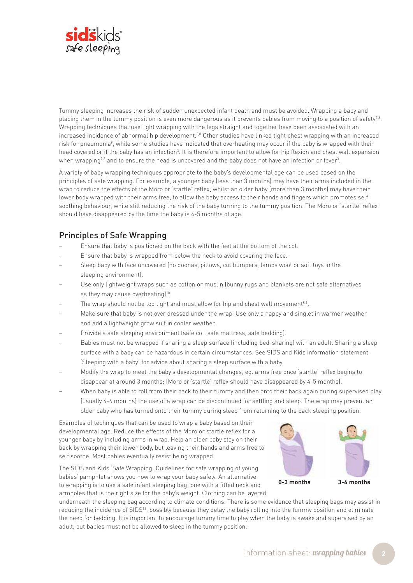

Tummy sleeping increases the risk of sudden unexpected infant death and must be avoided. Wrapping a baby and placing them in the tummy position is even more dangerous as it prevents babies from moving to a position of safety<sup>2,3</sup>. Wrapping techniques that use tight wrapping with the legs straight and together have been associated with an increased incidence of abnormal hip development.<sup>3,8</sup> Other studies have linked tight chest wrapping with an increased risk for pneumonia<sup>9</sup>, while some studies have indicated that overheating may occur if the baby is wrapped with their head covered or if the baby has an infection<sup>3</sup>. It is therefore important to allow for hip flexion and chest wall expansion when wrapping<sup>2,3</sup> and to ensure the head is uncovered and the baby does not have an infection or fever<sup>3</sup>.

A variety of baby wrapping techniques appropriate to the baby's developmental age can be used based on the principles of safe wrapping. For example, a younger baby (less than 3 months) may have their arms included in the wrap to reduce the effects of the Moro or 'startle' reflex; whilst an older baby (more than 3 months) may have their lower body wrapped with their arms free, to allow the baby access to their hands and fingers which promotes self soothing behaviour, while still reducing the risk of the baby turning to the tummy position. The Moro or 'startle' reflex should have disappeared by the time the baby is 4-5 months of age.

#### Principles of Safe Wrapping

- Ensure that baby is positioned on the back with the feet at the bottom of the cot.
- Ensure that baby is wrapped from below the neck to avoid covering the face.
- Sleep baby with face uncovered (no doonas, pillows, cot bumpers, lambs wool or soft toys in the sleeping environment).
- Use only lightweight wraps such as cotton or muslin (bunny rugs and blankets are not safe alternatives as they may cause overheating)<sup>10</sup>.
- The wrap should not be too tight and must allow for hip and chest wall movement<sup>8,9</sup>.
- Make sure that baby is not over dressed under the wrap. Use only a nappy and singlet in warmer weather and add a lightweight grow suit in cooler weather.
- Provide a safe sleeping environment (safe cot, safe mattress, safe bedding).
- Babies must not be wrapped if sharing a sleep surface (including bed-sharing) with an adult. Sharing a sleep surface with a baby can be hazardous in certain circumstances. See SIDS and Kids information statement 'Sleeping with a baby' for advice about sharing a sleep surface with a baby.
- Modify the wrap to meet the baby's developmental changes, eg. arms free once 'startle' reflex begins to disappear at around 3 months; (Moro or 'startle' reflex should have disappeared by 4-5 months).
- When baby is able to roll from their back to their tummy and then onto their back again during supervised play (usually 4-6 months) the use of a wrap can be discontinued for settling and sleep. The wrap may prevent an older baby who has turned onto their tummy during sleep from returning to the back sleeping position.

Examples of techniques that can be used to wrap a baby based on their developmental age. Reduce the effects of the Moro or startle reflex for a younger baby by including arms in wrap. Help an older baby stay on their back by wrapping their lower body, but leaving their hands and arms free to self soothe. Most babies eventually resist being wrapped.

The SIDS and Kids 'Safe Wrapping: Guidelines for safe wrapping of young babies' pamphlet shows you how to wrap your baby safely. An alternative to wrapping is to use a safe infant sleeping bag; one with a fitted neck and armholes that is the right size for the baby's weight. Clothing can be layered **0-3 months 3-6 months**

underneath the sleeping bag according to climate conditions. There is some evidence that sleeping bags may assist in reducing the incidence of SIDS<sup>11</sup>, possibly because they delay the baby rolling into the tummy position and eliminate the need for bedding. It is important to encourage tummy time to play when the baby is awake and supervised by an adult, but babies must not be allowed to sleep in the tummy position.